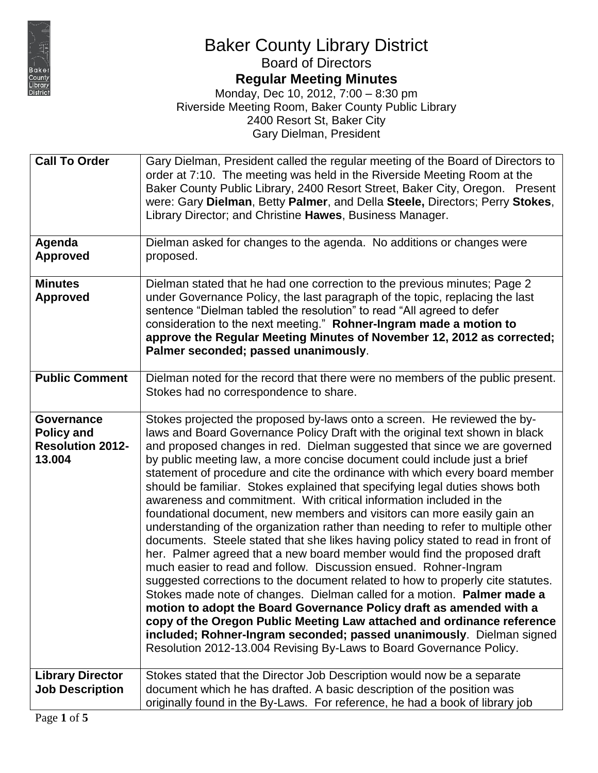

## Baker County Library District

Board of Directors

### **Regular Meeting Minutes**

| <b>Call To Order</b>                                                        | Gary Dielman, President called the regular meeting of the Board of Directors to<br>order at 7:10. The meeting was held in the Riverside Meeting Room at the<br>Baker County Public Library, 2400 Resort Street, Baker City, Oregon. Present<br>were: Gary Dielman, Betty Palmer, and Della Steele, Directors; Perry Stokes,<br>Library Director; and Christine Hawes, Business Manager.                                                                                                                                                                                                                                                                                                                                                                                                                                                                                                                                                                                                                                                                                                                                                                                                                                                                                                                                                                                                                                   |
|-----------------------------------------------------------------------------|---------------------------------------------------------------------------------------------------------------------------------------------------------------------------------------------------------------------------------------------------------------------------------------------------------------------------------------------------------------------------------------------------------------------------------------------------------------------------------------------------------------------------------------------------------------------------------------------------------------------------------------------------------------------------------------------------------------------------------------------------------------------------------------------------------------------------------------------------------------------------------------------------------------------------------------------------------------------------------------------------------------------------------------------------------------------------------------------------------------------------------------------------------------------------------------------------------------------------------------------------------------------------------------------------------------------------------------------------------------------------------------------------------------------------|
| Agenda<br><b>Approved</b>                                                   | Dielman asked for changes to the agenda. No additions or changes were<br>proposed.                                                                                                                                                                                                                                                                                                                                                                                                                                                                                                                                                                                                                                                                                                                                                                                                                                                                                                                                                                                                                                                                                                                                                                                                                                                                                                                                        |
| <b>Minutes</b><br><b>Approved</b>                                           | Dielman stated that he had one correction to the previous minutes; Page 2<br>under Governance Policy, the last paragraph of the topic, replacing the last<br>sentence "Dielman tabled the resolution" to read "All agreed to defer<br>consideration to the next meeting." Rohner-Ingram made a motion to<br>approve the Regular Meeting Minutes of November 12, 2012 as corrected;<br>Palmer seconded; passed unanimously.                                                                                                                                                                                                                                                                                                                                                                                                                                                                                                                                                                                                                                                                                                                                                                                                                                                                                                                                                                                                |
| <b>Public Comment</b>                                                       | Dielman noted for the record that there were no members of the public present.<br>Stokes had no correspondence to share.                                                                                                                                                                                                                                                                                                                                                                                                                                                                                                                                                                                                                                                                                                                                                                                                                                                                                                                                                                                                                                                                                                                                                                                                                                                                                                  |
| <b>Governance</b><br><b>Policy and</b><br><b>Resolution 2012-</b><br>13.004 | Stokes projected the proposed by-laws onto a screen. He reviewed the by-<br>laws and Board Governance Policy Draft with the original text shown in black<br>and proposed changes in red. Dielman suggested that since we are governed<br>by public meeting law, a more concise document could include just a brief<br>statement of procedure and cite the ordinance with which every board member<br>should be familiar. Stokes explained that specifying legal duties shows both<br>awareness and commitment. With critical information included in the<br>foundational document, new members and visitors can more easily gain an<br>understanding of the organization rather than needing to refer to multiple other<br>documents. Steele stated that she likes having policy stated to read in front of<br>her. Palmer agreed that a new board member would find the proposed draft<br>much easier to read and follow. Discussion ensued. Rohner-Ingram<br>suggested corrections to the document related to how to properly cite statutes.<br>Stokes made note of changes. Dielman called for a motion. Palmer made a<br>motion to adopt the Board Governance Policy draft as amended with a<br>copy of the Oregon Public Meeting Law attached and ordinance reference<br>included; Rohner-Ingram seconded; passed unanimously. Dielman signed<br>Resolution 2012-13.004 Revising By-Laws to Board Governance Policy. |
| <b>Library Director</b><br><b>Job Description</b>                           | Stokes stated that the Director Job Description would now be a separate<br>document which he has drafted. A basic description of the position was                                                                                                                                                                                                                                                                                                                                                                                                                                                                                                                                                                                                                                                                                                                                                                                                                                                                                                                                                                                                                                                                                                                                                                                                                                                                         |
|                                                                             | originally found in the By-Laws. For reference, he had a book of library job                                                                                                                                                                                                                                                                                                                                                                                                                                                                                                                                                                                                                                                                                                                                                                                                                                                                                                                                                                                                                                                                                                                                                                                                                                                                                                                                              |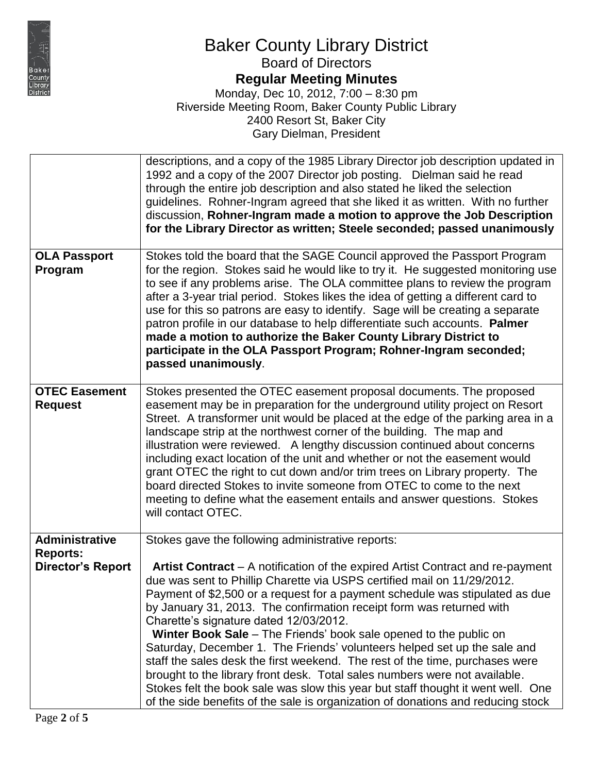

### Baker County Library District Board of Directors

**Regular Meeting Minutes**

|                                          | descriptions, and a copy of the 1985 Library Director job description updated in<br>1992 and a copy of the 2007 Director job posting. Dielman said he read<br>through the entire job description and also stated he liked the selection<br>guidelines. Rohner-Ingram agreed that she liked it as written. With no further<br>discussion, Rohner-Ingram made a motion to approve the Job Description<br>for the Library Director as written; Steele seconded; passed unanimously                                                                                                                                                                                                                                                                                                                                                                    |
|------------------------------------------|----------------------------------------------------------------------------------------------------------------------------------------------------------------------------------------------------------------------------------------------------------------------------------------------------------------------------------------------------------------------------------------------------------------------------------------------------------------------------------------------------------------------------------------------------------------------------------------------------------------------------------------------------------------------------------------------------------------------------------------------------------------------------------------------------------------------------------------------------|
| <b>OLA Passport</b><br>Program           | Stokes told the board that the SAGE Council approved the Passport Program<br>for the region. Stokes said he would like to try it. He suggested monitoring use<br>to see if any problems arise. The OLA committee plans to review the program<br>after a 3-year trial period. Stokes likes the idea of getting a different card to<br>use for this so patrons are easy to identify. Sage will be creating a separate<br>patron profile in our database to help differentiate such accounts. Palmer<br>made a motion to authorize the Baker County Library District to<br>participate in the OLA Passport Program; Rohner-Ingram seconded;<br>passed unanimously.                                                                                                                                                                                    |
| <b>OTEC Easement</b><br><b>Request</b>   | Stokes presented the OTEC easement proposal documents. The proposed<br>easement may be in preparation for the underground utility project on Resort<br>Street. A transformer unit would be placed at the edge of the parking area in a<br>landscape strip at the northwest corner of the building. The map and<br>illustration were reviewed.  A lengthy discussion continued about concerns<br>including exact location of the unit and whether or not the easement would<br>grant OTEC the right to cut down and/or trim trees on Library property. The<br>board directed Stokes to invite someone from OTEC to come to the next<br>meeting to define what the easement entails and answer questions. Stokes<br>will contact OTEC.                                                                                                               |
| <b>Administrative</b><br><b>Reports:</b> | Stokes gave the following administrative reports:                                                                                                                                                                                                                                                                                                                                                                                                                                                                                                                                                                                                                                                                                                                                                                                                  |
| Director's Report                        | Artist Contract - A notification of the expired Artist Contract and re-payment<br>due was sent to Phillip Charette via USPS certified mail on 11/29/2012.<br>Payment of \$2,500 or a request for a payment schedule was stipulated as due<br>by January 31, 2013. The confirmation receipt form was returned with<br>Charette's signature dated 12/03/2012.<br>Winter Book Sale - The Friends' book sale opened to the public on<br>Saturday, December 1. The Friends' volunteers helped set up the sale and<br>staff the sales desk the first weekend. The rest of the time, purchases were<br>brought to the library front desk. Total sales numbers were not available.<br>Stokes felt the book sale was slow this year but staff thought it went well. One<br>of the side benefits of the sale is organization of donations and reducing stock |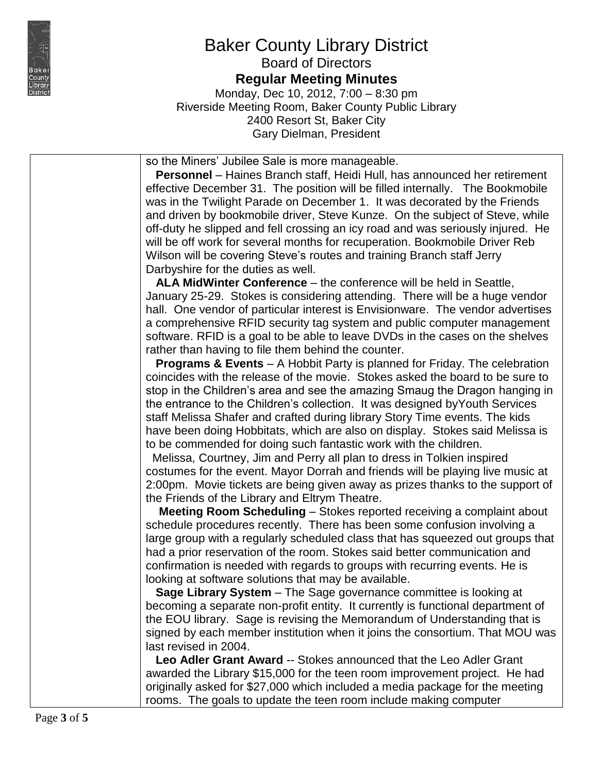

#### Baker County Library District Board of Directors

**Regular Meeting Minutes**

Monday, Dec 10, 2012, 7:00 – 8:30 pm Riverside Meeting Room, Baker County Public Library 2400 Resort St, Baker City Gary Dielman, President

so the Miners' Jubilee Sale is more manageable.

 **Personnel** – Haines Branch staff, Heidi Hull, has announced her retirement effective December 31. The position will be filled internally. The Bookmobile was in the Twilight Parade on December 1. It was decorated by the Friends and driven by bookmobile driver, Steve Kunze. On the subject of Steve, while off-duty he slipped and fell crossing an icy road and was seriously injured. He will be off work for several months for recuperation. Bookmobile Driver Reb Wilson will be covering Steve's routes and training Branch staff Jerry Darbyshire for the duties as well.

 **ALA MidWinter Conference** – the conference will be held in Seattle, January 25-29. Stokes is considering attending. There will be a huge vendor hall. One vendor of particular interest is Envisionware. The vendor advertises a comprehensive RFID security tag system and public computer management software. RFID is a goal to be able to leave DVDs in the cases on the shelves rather than having to file them behind the counter.

 **Programs & Events** – A Hobbit Party is planned for Friday. The celebration coincides with the release of the movie. Stokes asked the board to be sure to stop in the Children's area and see the amazing Smaug the Dragon hanging in the entrance to the Children's collection. It was designed byYouth Services staff Melissa Shafer and crafted during library Story Time events. The kids have been doing Hobbitats, which are also on display. Stokes said Melissa is to be commended for doing such fantastic work with the children.

 Melissa, Courtney, Jim and Perry all plan to dress in Tolkien inspired costumes for the event. Mayor Dorrah and friends will be playing live music at 2:00pm. Movie tickets are being given away as prizes thanks to the support of the Friends of the Library and Eltrym Theatre.

 **Meeting Room Scheduling** – Stokes reported receiving a complaint about schedule procedures recently. There has been some confusion involving a large group with a regularly scheduled class that has squeezed out groups that had a prior reservation of the room. Stokes said better communication and confirmation is needed with regards to groups with recurring events. He is looking at software solutions that may be available.

 **Sage Library System** – The Sage governance committee is looking at becoming a separate non-profit entity. It currently is functional department of the EOU library. Sage is revising the Memorandum of Understanding that is signed by each member institution when it joins the consortium. That MOU was last revised in 2004.

**Leo Adler Grant Award -- Stokes announced that the Leo Adler Grant** awarded the Library \$15,000 for the teen room improvement project. He had originally asked for \$27,000 which included a media package for the meeting rooms. The goals to update the teen room include making computer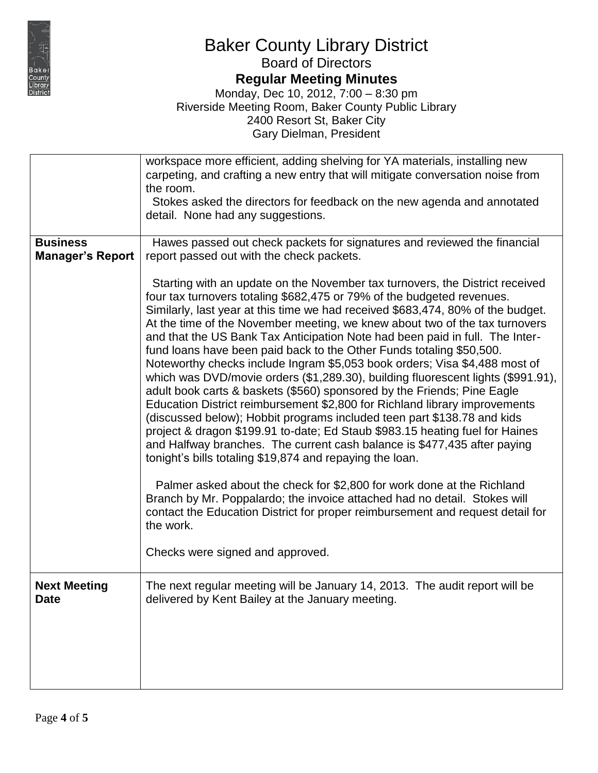

# Baker County Library District

Board of Directors

### **Regular Meeting Minutes**

|                                            | workspace more efficient, adding shelving for YA materials, installing new<br>carpeting, and crafting a new entry that will mitigate conversation noise from<br>the room.<br>Stokes asked the directors for feedback on the new agenda and annotated<br>detail. None had any suggestions.                                                                                                                                                                                                                                                                                                                                                                                                                                                                                                                                                                                                                                                                                                                                                                                                                                                                                                |
|--------------------------------------------|------------------------------------------------------------------------------------------------------------------------------------------------------------------------------------------------------------------------------------------------------------------------------------------------------------------------------------------------------------------------------------------------------------------------------------------------------------------------------------------------------------------------------------------------------------------------------------------------------------------------------------------------------------------------------------------------------------------------------------------------------------------------------------------------------------------------------------------------------------------------------------------------------------------------------------------------------------------------------------------------------------------------------------------------------------------------------------------------------------------------------------------------------------------------------------------|
| <b>Business</b><br><b>Manager's Report</b> | Hawes passed out check packets for signatures and reviewed the financial<br>report passed out with the check packets.                                                                                                                                                                                                                                                                                                                                                                                                                                                                                                                                                                                                                                                                                                                                                                                                                                                                                                                                                                                                                                                                    |
|                                            | Starting with an update on the November tax turnovers, the District received<br>four tax turnovers totaling \$682,475 or 79% of the budgeted revenues.<br>Similarly, last year at this time we had received \$683,474, 80% of the budget.<br>At the time of the November meeting, we knew about two of the tax turnovers<br>and that the US Bank Tax Anticipation Note had been paid in full. The Inter-<br>fund loans have been paid back to the Other Funds totaling \$50,500.<br>Noteworthy checks include Ingram \$5,053 book orders; Visa \$4,488 most of<br>which was DVD/movie orders (\$1,289.30), building fluorescent lights (\$991.91),<br>adult book carts & baskets (\$560) sponsored by the Friends; Pine Eagle<br>Education District reimbursement \$2,800 for Richland library improvements<br>(discussed below); Hobbit programs included teen part \$138.78 and kids<br>project & dragon \$199.91 to-date; Ed Staub \$983.15 heating fuel for Haines<br>and Halfway branches. The current cash balance is \$477,435 after paying<br>tonight's bills totaling \$19,874 and repaying the loan.<br>Palmer asked about the check for \$2,800 for work done at the Richland |
|                                            | Branch by Mr. Poppalardo; the invoice attached had no detail. Stokes will<br>contact the Education District for proper reimbursement and request detail for<br>the work.                                                                                                                                                                                                                                                                                                                                                                                                                                                                                                                                                                                                                                                                                                                                                                                                                                                                                                                                                                                                                 |
|                                            | Checks were signed and approved.                                                                                                                                                                                                                                                                                                                                                                                                                                                                                                                                                                                                                                                                                                                                                                                                                                                                                                                                                                                                                                                                                                                                                         |
| <b>Next Meeting</b><br><b>Date</b>         | The next regular meeting will be January 14, 2013. The audit report will be<br>delivered by Kent Bailey at the January meeting.                                                                                                                                                                                                                                                                                                                                                                                                                                                                                                                                                                                                                                                                                                                                                                                                                                                                                                                                                                                                                                                          |